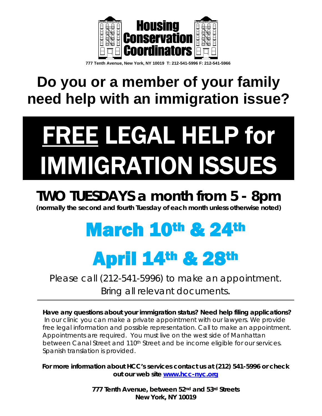

 **777 Tenth Avenue, New York, NY 10019 T: 212-541-5996 F: 212-541-5966** 

#### **Do you or a member of your family need help with an immigration issue?**

# FREE LEGAL HELP for IMMIGRATION ISSUES

#### *TWO TUESDAYS a month from 5 - 8pm*

*(normally the second and fourth Tuesday of each month unless otherwise noted)* 

## March 10th & 24th

# April 14th & 28th

*Please call (212-541-5996) to make an appointment. Bring all relevant documents*.

*Have any questions about your immigration status? Need help filing applications?*  In our clinic you can make a private appointment with our lawyers. We provide *free legal information and possible representation. Call to make an appointment. Appointments are required. You must live on the west side of Manhattan between Canal Street and 110th Street and be income eligible for our services. Spanish translation is provided.* 

*For more information about HCC's services contact us at (212) 541-5996 or check out our web site* **www.hcc-nyc.org**

> *777 Tenth Avenue, between 52nd and 53rd Streets New York, NY 10019*